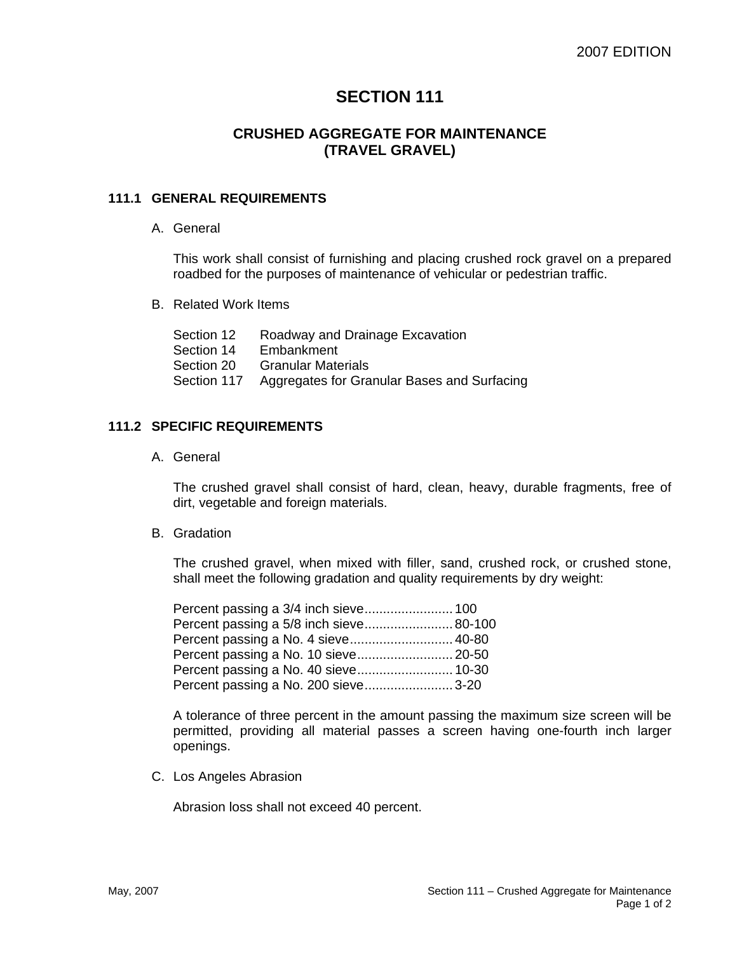# **SECTION 111**

## **CRUSHED AGGREGATE FOR MAINTENANCE (TRAVEL GRAVEL)**

### **111.1 GENERAL REQUIREMENTS**

A. General

This work shall consist of furnishing and placing crushed rock gravel on a prepared roadbed for the purposes of maintenance of vehicular or pedestrian traffic.

B. Related Work Items

| Section 12  | Roadway and Drainage Excavation             |
|-------------|---------------------------------------------|
| Section 14  | Embankment                                  |
| Section 20  | <b>Granular Materials</b>                   |
| Section 117 | Aggregates for Granular Bases and Surfacing |

#### **111.2 SPECIFIC REQUIREMENTS**

A. General

The crushed gravel shall consist of hard, clean, heavy, durable fragments, free of dirt, vegetable and foreign materials.

B. Gradation

The crushed gravel, when mixed with filler, sand, crushed rock, or crushed stone, shall meet the following gradation and quality requirements by dry weight:

| Percent passing a 5/8 inch sieve 80-100 |  |
|-----------------------------------------|--|
| Percent passing a No. 4 sieve 40-80     |  |
|                                         |  |
| Percent passing a No. 40 sieve 10-30    |  |
| Percent passing a No. 200 sieve 3-20    |  |

A tolerance of three percent in the amount passing the maximum size screen will be permitted, providing all material passes a screen having one-fourth inch larger openings.

C. Los Angeles Abrasion

Abrasion loss shall not exceed 40 percent.